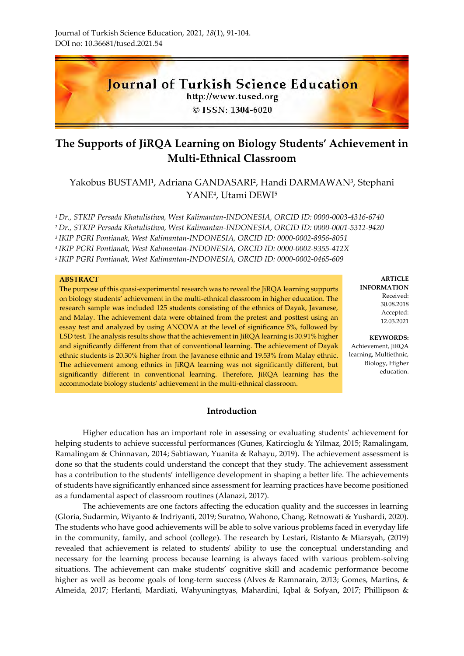

# **The Supports of JiRQA Learning on Biology Students' Achievement in Multi-Ethnical Classroom**

## Yakobus BUSTAMI<sup>1</sup> , Adriana GANDASARI<sup>2</sup> , Handi DARMAWAN<sup>3</sup> , Stephani YANE<sup>4</sup> , Utami DEWI<sup>5</sup>

*Dr., STKIP Persada Khatulistiwa, West Kalimantan-INDONESIA, ORCID ID: 0000-0003-4316-6740 Dr., STKIP Persada Khatulistiwa, West Kalimantan-INDONESIA, ORCID ID: 0000-0001-5312-9420 IKIP PGRI Pontianak, West Kalimantan-INDONESIA, ORCID ID: 0000-0002-8956-8051 IKIP PGRI Pontianak, West Kalimantan-INDONESIA, ORCID ID: 0000-0002-9355-412X IKIP PGRI Pontianak, West Kalimantan-INDONESIA, ORCID ID: 0000-0002-0465-609*

#### **ABSTRACT**

The purpose of this quasi-experimental research was to reveal the JiRQA learning supports on biology students' achievement in the multi-ethnical classroom in higher education. The research sample was included 125 students consisting of the ethnics of Dayak, Javanese, and Malay. The achievement data were obtained from the pretest and posttest using an essay test and analyzed by using ANCOVA at the level of significance 5%, followed by LSD test. The analysis results show that the achievement in JiRQA learning is 30.91% higher and significantly different from that of conventional learning. The achievement of Dayak ethnic students is 20.30% higher from the Javanese ethnic and 19.53% from Malay ethnic. The achievement among ethnics in JiRQA learning was not significantly different, but significantly different in conventional learning. Therefore, JiRQA learning has the accommodate biology students' achievement in the multi-ethnical classroom.

**Introduction** 

Higher education has an important role in assessing or evaluating students' achievement for helping students to achieve successful performances (Gunes, Katircioglu & Yilmaz, 2015; Ramalingam, Ramalingam & Chinnavan, 2014; Sabtiawan, Yuanita & Rahayu, 2019). The achievement assessment is done so that the students could understand the concept that they study. The achievement assessment has a contribution to the students' intelligence development in shaping a better life. The achievements of students have significantly enhanced since assessment for learning practices have become positioned as a fundamental aspect of classroom routines (Alanazi, 2017).

The achievements are one factors affecting the education quality and the successes in learning (Gloria, Sudarmin, Wiyanto & Indriyanti, 2019; Suratno, Wahono, Chang, Retnowati & Yushardi, 2020). The students who have good achievements will be able to solve various problems faced in everyday life in the community, family, and school (college). The research by Lestari, Ristanto & Miarsyah, (2019) revealed that achievement is related to students' ability to use the conceptual understanding and necessary for the learning process because learning is always faced with various problem-solving situations. The achievement can make students' cognitive skill and academic performance become higher as well as become goals of long-term success (Alves & Ramnarain, 2013; Gomes, Martins, & Almeida, 2017; Herlanti, Mardiati, Wahyuningtyas, Mahardini, Iqbal & Sofyan**,** 2017; Phillipson &

**ARTICLE INFORMATION** Received: 30.08.2018 Accepted: 12.03.2021

**KEYWORDS:** Achievement, JiRQA learning, Multiethnic, Biology, Higher education.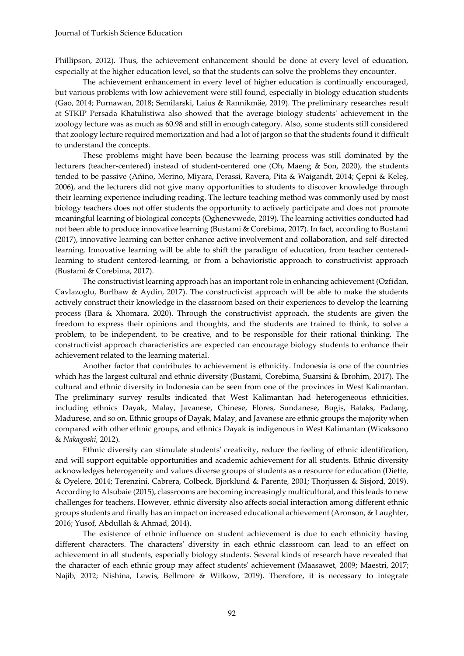Phillipson, 2012). Thus, the achievement enhancement should be done at every level of education, especially at the higher education level, so that the students can solve the problems they encounter.

The achievement enhancement in every level of higher education is continually encouraged, but various problems with low achievement were still found, especially in biology education students (Gao, 2014; Purnawan, 2018; Semilarski, Laius & Rannikmäe, 2019). The preliminary researches result at STKIP Persada Khatulistiwa also showed that the average biology students' achievement in the zoology lecture was as much as 60.98 and still in enough category. Also, some students still considered that zoology lecture required memorization and had a lot of jargon so that the students found it difficult to understand the concepts.

These problems might have been because the learning process was still dominated by the lecturers (teacher-centered) instead of student-centered one (Oh, Maeng & Son, 2020), the students tended to be passive (Añino, Merino, Miyara, Perassi, Ravera, Pita & Waigandt, 2014; Çepni & Keleş, 2006), and the lecturers did not give many opportunities to students to discover knowledge through their learning experience including reading. The lecture teaching method was commonly used by most biology teachers does not offer students the opportunity to actively participate and does not promote meaningful learning of biological concepts (Oghenevwede, 2019). The learning activities conducted had not been able to produce innovative learning (Bustami & Corebima, 2017). In fact, according to Bustami (2017), innovative learning can better enhance active involvement and collaboration, and self-directed learning. Innovative learning will be able to shift the paradigm of education, from teacher centeredlearning to student centered-learning, or from a behavioristic approach to constructivist approach (Bustami & Corebima, 2017).

The constructivist learning approach has an important role in enhancing achievement (Ozfidan, Cavlazoglu, Burlbaw & Aydin, 2017). The constructivist approach will be able to make the students actively construct their knowledge in the classroom based on their experiences to develop the learning process (Bara & Xhomara, 2020). Through the constructivist approach, the students are given the freedom to express their opinions and thoughts, and the students are trained to think, to solve a problem, to be independent, to be creative, and to be responsible for their rational thinking. The constructivist approach characteristics are expected can encourage biology students to enhance their achievement related to the learning material.

Another factor that contributes to achievement is ethnicity. Indonesia is one of the countries which has the largest cultural and ethnic diversity (Bustami, Corebima, Suarsini & Ibrohim, 2017). The cultural and ethnic diversity in Indonesia can be seen from one of the provinces in West Kalimantan. The preliminary survey results indicated that West Kalimantan had heterogeneous ethnicities, including ethnics Dayak, Malay, Javanese, Chinese, Flores, Sundanese, Bugis, Bataks, Padang, Madurese, and so on. Ethnic groups of Dayak, Malay, and Javanese are ethnic groups the majority when compared with other ethnic groups, and ethnics Dayak is indigenous in West Kalimantan (Wicaksono & *Nakagoshi,* 2012).

Ethnic diversity can stimulate students' creativity, reduce the feeling of ethnic identification, and will support equitable opportunities and academic achievement for all students. Ethnic diversity acknowledges heterogeneity and values diverse groups of students as a resource for education (Diette, & Oyelere, 2014; Terenzini, Cabrera, Colbeck, Bjorklund & Parente, 2001; Thorjussen & Sisjord, 2019). According to Alsubaie (2015), classrooms are becoming increasingly multicultural, and this leads to new challenges for teachers. However, ethnic diversity also affects social interaction among different ethnic groups students and finally has an impact on increased educational achievement (Aronson, & Laughter, 2016; Yusof, Abdullah & Ahmad, 2014).

The existence of ethnic influence on student achievement is due to each ethnicity having different characters. The characters' diversity in each ethnic classroom can lead to an effect on achievement in all students, especially biology students. Several kinds of research have revealed that the character of each ethnic group may affect students' achievement (Maasawet, 2009; Maestri, 2017; Najib, 2012; Nishina, Lewis, Bellmore & Witkow, 2019). Therefore, it is necessary to integrate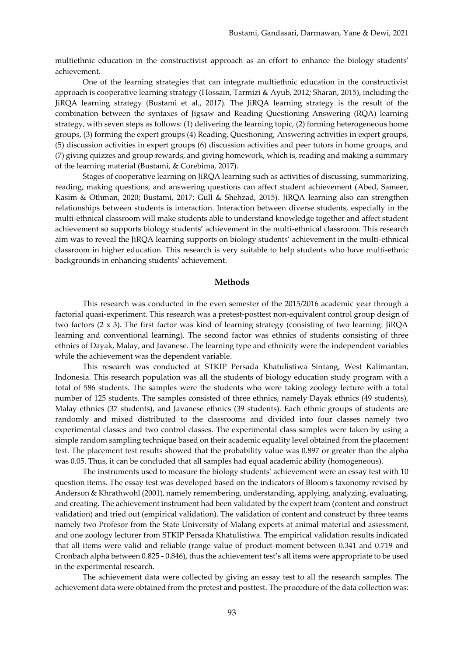multiethnic education in the constructivist approach as an effort to enhance the biology students' achievement.

One of the learning strategies that can integrate multiethnic education in the constructivist approach is cooperative learning strategy (Hossain, Tarmizi & Ayub, 2012*;* Sharan, 2015), including the JiRQA learning strategy (Bustami et al., 2017). The JiRQA learning strategy is the result of the combination between the syntaxes of Jigsaw and Reading Questioning Answering (RQA) learning strategy, with seven steps as follows: (1) delivering the learning topic, (2) forming heterogeneous home groups, (3) forming the expert groups (4) Reading, Questioning, Answering activities in expert groups, (5) discussion activities in expert groups (6) discussion activities and peer tutors in home groups, and (7) giving quizzes and group rewards, and giving homework, which is, reading and making a summary of the learning material (Bustami, & Corebima, 2017).

Stages of cooperative learning on JiRQA learning such as activities of discussing, summarizing, reading, making questions, and answering questions can affect student achievement (Abed, Sameer, Kasim & Othman, 2020; Bustami, 2017; Gull & Shehzad, 2015). JiRQA learning also can strengthen relationships between students is interaction. Interaction between diverse students, especially in the multi-ethnical classroom will make students able to understand knowledge together and affect student achievement so supports biology students' achievement in the multi-ethnical classroom. This research aim was to reveal the JiRQA learning supports on biology students' achievement in the multi-ethnical classroom in higher education. This research is very suitable to help students who have multi-ethnic backgrounds in enhancing students' achievement.

## **Methods**

This research was conducted in the even semester of the 2015/2016 academic year through a factorial quasi-experiment. This research was a pretest-posttest non-equivalent control group design of two factors (2 x 3). The first factor was kind of learning strategy (consisting of two learning: JiRQA learning and conventional learning). The second factor was ethnics of students consisting of three ethnics of Dayak, Malay, and Javanese. The learning type and ethnicity were the independent variables while the achievement was the dependent variable.

This research was conducted at STKIP Persada Khatulistiwa Sintang, West Kalimantan, Indonesia. This research population was all the students of biology education study program with a total of 586 students. The samples were the students who were taking zoology lecture with a total number of 125 students. The samples consisted of three ethnics, namely Dayak ethnics (49 students), Malay ethnics (37 students), and Javanese ethnics (39 students). Each ethnic groups of students are randomly and mixed distributed to the classrooms and divided into four classes namely two experimental classes and two control classes. The experimental class samples were taken by using a simple random sampling technique based on their academic equality level obtained from the placement test. The placement test results showed that the probability value was 0.897 or greater than the alpha was 0.05. Thus, it can be concluded that all samples had equal academic ability (homogeneous).

The instruments used to measure the biology students' achievement were an essay test with 10 question items. The essay test was developed based on the indicators of Bloom's taxonomy revised by Anderson & Khrathwohl (2001), namely remembering, understanding, applying, analyzing, evaluating, and creating. The achievement instrument had been validated by the expert team (content and construct validation) and tried out (empirical validation). The validation of content and construct by three teams namely two Profesor from the State University of Malang experts at animal material and assessment, and one zoology lecturer from STKIP Persada Khatulistiwa. The empirical validation results indicated that all items were valid and reliable (range value of product-moment between 0.341 and 0.719 and Cronbach alpha between 0.825 - 0.846), thus the achievement test's all items were appropriate to be used in the experimental research.

The achievement data were collected by giving an essay test to all the research samples. The achievement data were obtained from the pretest and posttest. The procedure of the data collection was: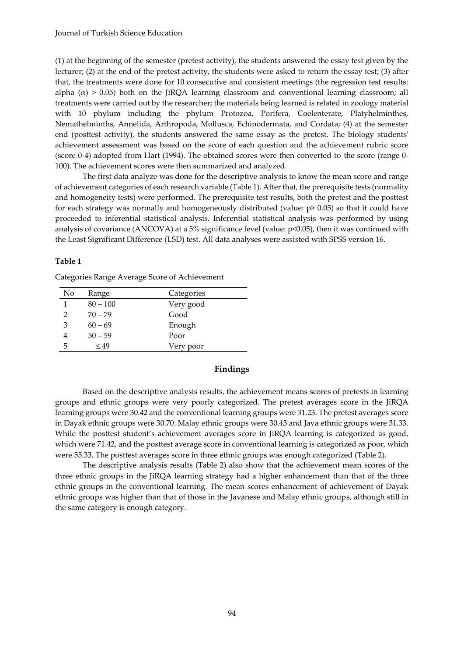(1) at the beginning of the semester (pretest activity), the students answered the essay test given by the lecturer; (2) at the end of the pretest activity, the students were asked to return the essay test; (3) after that, the treatments were done for 10 consecutive and consistent meetings (the regression test results: alpha  $(\alpha) > 0.05$ ) both on the JiRQA learning classroom and conventional learning classroom; all treatments were carried out by the researcher; the materials being learned is related in zoology material with 10 phylum including the phylum Protozoa, Porifera, Coelenterate, Platyhelminthes, Nemathelminths, Annelida, Arthropoda, Mollusca, Echinodermata, and Cordata; (4) at the semester end (posttest activity), the students answered the same essay as the pretest. The biology students' achievement assessment was based on the score of each question and the achievement rubric score (score 0-4) adopted from Hart (1994). The obtained scores were then converted to the score (range 0- 100). The achievement scores were then summarized and analyzed.

The first data analyze was done for the descriptive analysis to know the mean score and range of achievement categories of each research variable (Table 1). After that, the prerequisite tests (normality and homogeneity tests) were performed. The prerequisite test results, both the pretest and the posttest for each strategy was normally and homogeneously distributed (value: p> 0.05) so that it could have proceeded to inferential statistical analysis. Inferential statistical analysis was performed by using analysis of covariance (ANCOVA) at a 5% significance level (value: p<0.05), then it was continued with the Least Significant Difference (LSD) test. All data analyses were assisted with SPSS version 16.

#### **Table 1**

Categories Range Average Score of Achievement

| No            | Range      | Categories |
|---------------|------------|------------|
|               | $80 - 100$ | Very good  |
| $\mathcal{D}$ | $70 - 79$  | Good       |
| 3             | $60 - 69$  | Enough     |
|               | $50 - 59$  | Poor       |
| 5             | $\leq$ 49  | Very poor  |

## **Findings**

Based on the descriptive analysis results, the achievement means scores of pretests in learning groups and ethnic groups were very poorly categorized. The pretest averages score in the JiRQA learning groups were 30.42 and the conventional learning groups were 31.23. The pretest averages score in Dayak ethnic groups were 30.70. Malay ethnic groups were 30.43 and Java ethnic groups were 31.33. While the posttest student's achievement averages score in JiRQA learning is categorized as good, which were 71.42, and the posttest average score in conventional learning is categorized as poor, which were 55.33. The posttest averages score in three ethnic groups was enough categorized (Table 2).

The descriptive analysis results (Table 2) also show that the achievement mean scores of the three ethnic groups in the JiRQA learning strategy had a higher enhancement than that of the three ethnic groups in the conventional learning. The mean scores enhancement of achievement of Dayak ethnic groups was higher than that of those in the Javanese and Malay ethnic groups, although still in the same category is enough category.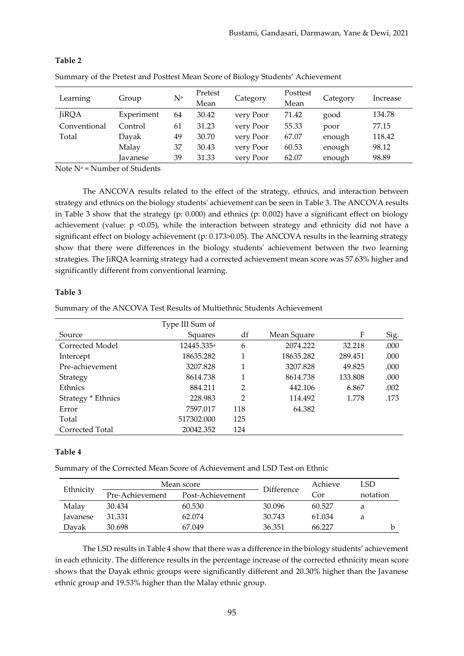| ------------ | <u>ve me e cercor ana e obricor mean o core or bronogy branchio rechievement</u> |                |                 |           |                  |          |          |
|--------------|----------------------------------------------------------------------------------|----------------|-----------------|-----------|------------------|----------|----------|
| Learning     | Group                                                                            | N <sup>a</sup> | Pretest<br>Mean | Category  | Posttest<br>Mean | Category | Increase |
| <b>JiRQA</b> | Experiment                                                                       | 64             | 30.42           | very Poor | 71.42            | good     | 134.78   |
| Conventional | Control                                                                          | 61             | 31.23           | very Poor | 55.33            | poor     | 77.15    |
| Total        | Dayak                                                                            | 49             | 30.70           | very Poor | 67.07            | enough   | 118.42   |
|              | Malay                                                                            | 37             | 30.43           | very Poor | 60.53            | enough   | 98.12    |
|              | Javanese                                                                         | 39             | 31.33           | very Poor | 62.07            | enough   | 98.89    |

## **Table 2**

Summary of the Pretest and Posttest Mean Score of Biology Students' Achievement

Note  $N^a$  = Number of Students

The ANCOVA results related to the effect of the strategy, ethnics, and interaction between strategy and ethnics on the biology students' achievement can be seen in Table 3. The ANCOVA results in Table 3 show that the strategy (p: 0.000) and ethnics (p: 0.002) have a significant effect on biology achievement (value: p <0.05), while the interaction between strategy and ethnicity did not have a significant effect on biology achievement (p: 0.173>0.05). The ANCOVA results in the learning strategy show that there were differences in the biology students' achievement between the two learning strategies. The JiRQA learning strategy had a corrected achievement mean score was 57.63% higher and significantly different from conventional learning.

## **Table 3**

Summary of the ANCOVA Test Results of Multiethnic Students Achievement

|                    | Type III Sum of        |                |             |         |      |
|--------------------|------------------------|----------------|-------------|---------|------|
| Source             | Squares                | df             | Mean Square | F       | Sig. |
| Corrected Model    | 12445.335 <sup>a</sup> | 6              | 2074.222    | 32.218  | .000 |
| Intercept          | 18635.282              |                | 18635.282   | 289.451 | .000 |
| Pre-achievement    | 3207.828               | 1              | 3207.828    | 49.825  | .000 |
| Strategy           | 8614.738               |                | 8614.738    | 133.808 | .000 |
| Ethnics            | 884.211                | $\overline{2}$ | 442.106     | 6.867   | .002 |
| Strategy * Ethnics | 228.983                | $\overline{2}$ | 114.492     | 1.778   | .173 |
| Error              | 7597.017               | 118            | 64.382      |         |      |
| Total              | 517302.000             | 125            |             |         |      |
| Corrected Total    | 20042.352              | 124            |             |         |      |

## **Table 4**

Summary of the Corrected Mean Score of Achievement and LSD Test on Ethnic

| Ethnicity       | Mean score      | Difference       | Achieve | LSD    |          |
|-----------------|-----------------|------------------|---------|--------|----------|
|                 | Pre-Achievement | Post-Achievement |         | Cor    | notation |
| Malay           | 30.434          | 60.530           | 30.096  | 60.527 | а        |
| <i>lavanese</i> | 31.331          | 62.074           | 30.743  | 61.034 | а        |
| Davak           | 30.698          | 67.049           | 36.351  | 66.227 |          |

The LSD results in Table 4 show that there was a difference in the biology students' achievement in each ethnicity. The difference results in the percentage increase of the corrected ethnicity mean score shows that the Dayak ethnic groups were significantly different and 20.30% higher than the Javanese ethnic group and 19.53% higher than the Malay ethnic group.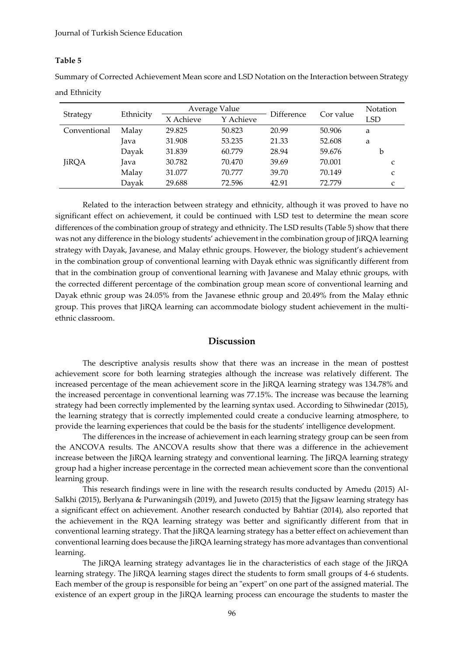#### **Table 5**

Summary of Corrected Achievement Mean score and LSD Notation on the Interaction between Strategy and Ethnicity

|              | Ethnicity | Average Value |           | Difference | Cor value | Notation |
|--------------|-----------|---------------|-----------|------------|-----------|----------|
| Strategy     |           | X Achieve     | Y Achieve |            |           | LSD      |
| Conventional | Malay     | 29.825        | 50.823    | 20.99      | 50.906    | a        |
|              | Java      | 31.908        | 53.235    | 21.33      | 52.608    | a        |
|              | Dayak     | 31.839        | 60.779    | 28.94      | 59.676    | b        |
| <b>JiRQA</b> | Java      | 30.782        | 70.470    | 39.69      | 70.001    | C        |
|              | Malay     | 31.077        | 70.777    | 39.70      | 70.149    | C        |
|              | Dayak     | 29.688        | 72.596    | 42.91      | 72.779    | C        |

Related to the interaction between strategy and ethnicity, although it was proved to have no significant effect on achievement, it could be continued with LSD test to determine the mean score differences of the combination group of strategy and ethnicity. The LSD results (Table 5) show that there was not any difference in the biology students' achievement in the combination group of JiRQA learning strategy with Dayak, Javanese, and Malay ethnic groups. However, the biology student's achievement in the combination group of conventional learning with Dayak ethnic was significantly different from that in the combination group of conventional learning with Javanese and Malay ethnic groups, with the corrected different percentage of the combination group mean score of conventional learning and Dayak ethnic group was 24.05% from the Javanese ethnic group and 20.49% from the Malay ethnic group. This proves that JiRQA learning can accommodate biology student achievement in the multiethnic classroom.

## **Discussion**

The descriptive analysis results show that there was an increase in the mean of posttest achievement score for both learning strategies although the increase was relatively different. The increased percentage of the mean achievement score in the JiRQA learning strategy was 134.78% and the increased percentage in conventional learning was 77.15%. The increase was because the learning strategy had been correctly implemented by the learning syntax used. According to Sihwinedar (2015), the learning strategy that is correctly implemented could create a conducive learning atmosphere, to provide the learning experiences that could be the basis for the students' intelligence development.

The differences in the increase of achievement in each learning strategy group can be seen from the ANCOVA results. The ANCOVA results show that there was a difference in the achievement increase between the JiRQA learning strategy and conventional learning. The JiRQA learning strategy group had a higher increase percentage in the corrected mean achievement score than the conventional learning group.

This research findings were in line with the research results conducted by Amedu (2015) Al-Salkhi (2015), Berlyana & Purwaningsih (2019), and Juweto (2015) that the Jigsaw learning strategy has a significant effect on achievement. Another research conducted by Bahtiar (2014), also reported that the achievement in the RQA learning strategy was better and significantly different from that in conventional learning strategy. That the JiRQA learning strategy has a better effect on achievement than conventional learning does because the JiRQA learning strategy has more advantages than conventional learning.

The JiRQA learning strategy advantages lie in the characteristics of each stage of the JiRQA learning strategy. The JiRQA learning stages direct the students to form small groups of 4-6 students. Each member of the group is responsible for being an "expert" on one part of the assigned material. The existence of an expert group in the JiRQA learning process can encourage the students to master the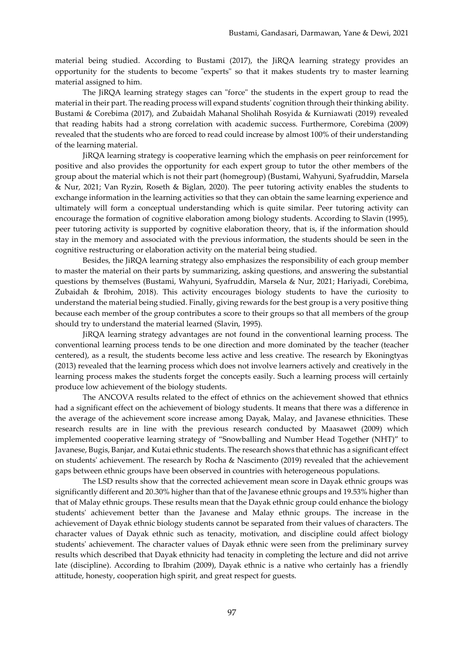material being studied. According to Bustami (2017), the JiRQA learning strategy provides an opportunity for the students to become "experts" so that it makes students try to master learning material assigned to him.

The JiRQA learning strategy stages can "force" the students in the expert group to read the material in their part. The reading process will expand students' cognition through their thinking ability. Bustami & Corebima (2017), and Zubaidah Mahanal Sholihah Rosyida & Kurniawati (2019) revealed that reading habits had a strong correlation with academic success. Furthermore, Corebima (2009) revealed that the students who are forced to read could increase by almost 100% of their understanding of the learning material.

JiRQA learning strategy is cooperative learning which the emphasis on peer reinforcement for positive and also provides the opportunity for each expert group to tutor the other members of the group about the material which is not their part (homegroup) (Bustami, Wahyuni, Syafruddin, Marsela & Nur, 2021; Van Ryzin, Roseth & Biglan, 2020). The peer tutoring activity enables the students to exchange information in the learning activities so that they can obtain the same learning experience and ultimately will form a conceptual understanding which is quite similar. Peer tutoring activity can encourage the formation of cognitive elaboration among biology students. According to Slavin (1995), peer tutoring activity is supported by cognitive elaboration theory, that is, if the information should stay in the memory and associated with the previous information, the students should be seen in the cognitive restructuring or elaboration activity on the material being studied.

Besides, the JiRQA learning strategy also emphasizes the responsibility of each group member to master the material on their parts by summarizing, asking questions, and answering the substantial questions by themselves (Bustami, Wahyuni, Syafruddin, Marsela & Nur, 2021; Hariyadi, Corebima, Zubaidah & Ibrohim, 2018). This activity encourages biology students to have the curiosity to understand the material being studied. Finally, giving rewards for the best group is a very positive thing because each member of the group contributes a score to their groups so that all members of the group should try to understand the material learned (Slavin, 1995).

JiRQA learning strategy advantages are not found in the conventional learning process. The conventional learning process tends to be one direction and more dominated by the teacher (teacher centered), as a result, the students become less active and less creative. The research by Ekoningtyas (2013) revealed that the learning process which does not involve learners actively and creatively in the learning process makes the students forget the concepts easily. Such a learning process will certainly produce low achievement of the biology students.

The ANCOVA results related to the effect of ethnics on the achievement showed that ethnics had a significant effect on the achievement of biology students. It means that there was a difference in the average of the achievement score increase among Dayak, Malay, and Javanese ethnicities. These research results are in line with the previous research conducted by Maasawet (2009) which implemented cooperative learning strategy of "Snowballing and Number Head Together (NHT)" to Javanese, Bugis, Banjar, and Kutai ethnic students. The research shows that ethnic has a significant effect on students' achievement. The research by Rocha & Nascimento (2019) revealed that the achievement gaps between ethnic groups have been observed in countries with heterogeneous populations.

The LSD results show that the corrected achievement mean score in Dayak ethnic groups was significantly different and 20.30% higher than that of the Javanese ethnic groups and 19.53% higher than that of Malay ethnic groups. These results mean that the Dayak ethnic group could enhance the biology students' achievement better than the Javanese and Malay ethnic groups. The increase in the achievement of Dayak ethnic biology students cannot be separated from their values of characters. The character values of Dayak ethnic such as tenacity, motivation, and discipline could affect biology students' achievement. The character values of Dayak ethnic were seen from the preliminary survey results which described that Dayak ethnicity had tenacity in completing the lecture and did not arrive late (discipline). According to Ibrahim (2009), Dayak ethnic is a native who certainly has a friendly attitude, honesty, cooperation high spirit, and great respect for guests.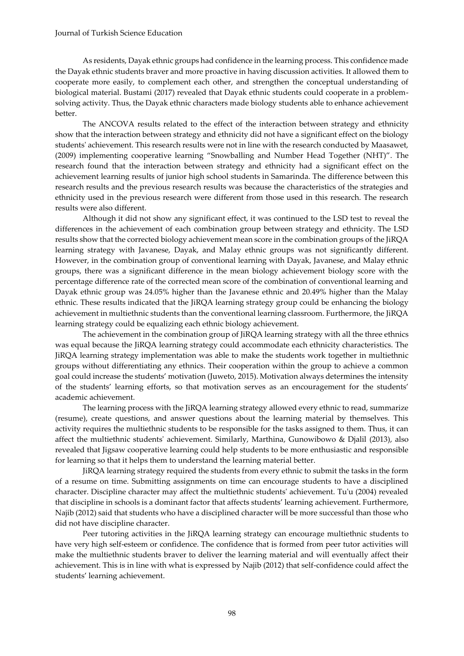As residents, Dayak ethnic groups had confidence in the learning process. This confidence made the Dayak ethnic students braver and more proactive in having discussion activities. It allowed them to cooperate more easily, to complement each other, and strengthen the conceptual understanding of biological material. Bustami (2017) revealed that Dayak ethnic students could cooperate in a problemsolving activity. Thus, the Dayak ethnic characters made biology students able to enhance achievement better.

The ANCOVA results related to the effect of the interaction between strategy and ethnicity show that the interaction between strategy and ethnicity did not have a significant effect on the biology students' achievement. This research results were not in line with the research conducted by Maasawet, (2009) implementing cooperative learning "Snowballing and Number Head Together (NHT)". The research found that the interaction between strategy and ethnicity had a significant effect on the achievement learning results of junior high school students in Samarinda. The difference between this research results and the previous research results was because the characteristics of the strategies and ethnicity used in the previous research were different from those used in this research. The research results were also different.

Although it did not show any significant effect, it was continued to the LSD test to reveal the differences in the achievement of each combination group between strategy and ethnicity. The LSD results show that the corrected biology achievement mean score in the combination groups of the JiRQA learning strategy with Javanese, Dayak, and Malay ethnic groups was not significantly different. However, in the combination group of conventional learning with Dayak, Javanese, and Malay ethnic groups, there was a significant difference in the mean biology achievement biology score with the percentage difference rate of the corrected mean score of the combination of conventional learning and Dayak ethnic group was 24.05% higher than the Javanese ethnic and 20.49% higher than the Malay ethnic. These results indicated that the JiRQA learning strategy group could be enhancing the biology achievement in multiethnic students than the conventional learning classroom. Furthermore, the JiRQA learning strategy could be equalizing each ethnic biology achievement.

The achievement in the combination group of JiRQA learning strategy with all the three ethnics was equal because the JiRQA learning strategy could accommodate each ethnicity characteristics. The JiRQA learning strategy implementation was able to make the students work together in multiethnic groups without differentiating any ethnics. Their cooperation within the group to achieve a common goal could increase the students' motivation (Juweto, 2015). Motivation always determines the intensity of the students' learning efforts, so that motivation serves as an encouragement for the students' academic achievement.

The learning process with the JiRQA learning strategy allowed every ethnic to read, summarize (resume), create questions, and answer questions about the learning material by themselves. This activity requires the multiethnic students to be responsible for the tasks assigned to them. Thus, it can affect the multiethnic students' achievement. Similarly, Marthina, Gunowibowo & Djalil (2013), also revealed that Jigsaw cooperative learning could help students to be more enthusiastic and responsible for learning so that it helps them to understand the learning material better.

JiRQA learning strategy required the students from every ethnic to submit the tasks in the form of a resume on time. Submitting assignments on time can encourage students to have a disciplined character. Discipline character may affect the multiethnic students' achievement. Tu'u (2004) revealed that discipline in schools is a dominant factor that affects students' learning achievement. Furthermore, Najib (2012) said that students who have a disciplined character will be more successful than those who did not have discipline character.

Peer tutoring activities in the JiRQA learning strategy can encourage multiethnic students to have very high self-esteem or confidence. The confidence that is formed from peer tutor activities will make the multiethnic students braver to deliver the learning material and will eventually affect their achievement. This is in line with what is expressed by Najib (2012) that self-confidence could affect the students' learning achievement.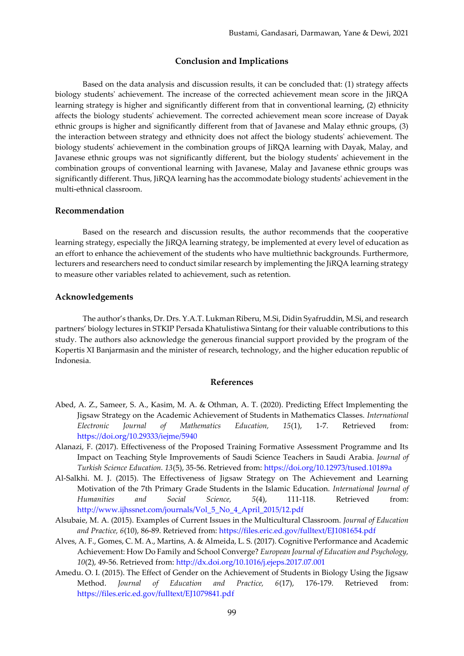## **Conclusion and Implications**

Based on the data analysis and discussion results, it can be concluded that: (1) strategy affects biology students' achievement. The increase of the corrected achievement mean score in the JiRQA learning strategy is higher and significantly different from that in conventional learning, (2) ethnicity affects the biology students' achievement. The corrected achievement mean score increase of Dayak ethnic groups is higher and significantly different from that of Javanese and Malay ethnic groups, (3) the interaction between strategy and ethnicity does not affect the biology students' achievement. The biology students' achievement in the combination groups of JiRQA learning with Dayak, Malay, and Javanese ethnic groups was not significantly different, but the biology students' achievement in the combination groups of conventional learning with Javanese, Malay and Javanese ethnic groups was significantly different. Thus, JiRQA learning has the accommodate biology students' achievement in the multi-ethnical classroom.

## **Recommendation**

Based on the research and discussion results, the author recommends that the cooperative learning strategy, especially the JiRQA learning strategy, be implemented at every level of education as an effort to enhance the achievement of the students who have multiethnic backgrounds. Furthermore, lecturers and researchers need to conduct similar research by implementing the JiRQA learning strategy to measure other variables related to achievement, such as retention.

#### **Acknowledgements**

The author's thanks, Dr. Drs. Y.A.T. Lukman Riberu, M.Si, Didin Syafruddin, M.Si, and research partners' biology lectures in STKIP Persada Khatulistiwa Sintang for their valuable contributions to this study. The authors also acknowledge the generous financial support provided by the program of the Kopertis XI Banjarmasin and the minister of research, technology, and the higher education republic of Indonesia.

#### **References**

- Abed, A. Z., Sameer, S. A., Kasim, M. A. & Othman, A. T. (2020). Predicting Effect Implementing the Jigsaw Strategy on the Academic Achievement of Students in Mathematics Classes. *International Electronic Journal of Mathematics Education, 15*(1), 1-7. Retrieved from: <https://doi.org/10.29333/iejme/5940>
- Alanazi, F. (2017). Effectiveness of the Proposed Training Formative Assessment Programme and Its Impact on Teaching Style Improvements of Saudi Science Teachers in Saudi Arabia. *Journal of Turkish Science Education. 13*(5), 35-56. Retrieved from:<https://doi.org/10.12973/tused.10189a>
- Al-Salkhi. M. J. (2015). The Effectiveness of Jigsaw Strategy on The Achievement and Learning Motivation of the 7th Primary Grade Students in the Islamic Education. *International Journal of Humanities and Social Science, 5*(4), 111-118. Retrieved from: [http://www.ijhssnet.com/journals/Vol\\_5\\_No\\_4\\_April\\_2015/12.pdf](http://www.ijhssnet.com/journals/Vol_5_No_4_April_2015/12.pdf)
- Alsubaie, M. A. (2015). Examples of Current Issues in the Multicultural Classroom. *Journal of Education and Practice, 6*(10), 86-89. Retrieved from:<https://files.eric.ed.gov/fulltext/EJ1081654.pdf>
- Alves, A. F., Gomes, C. M. A., Martins, A. & Almeida, L. S. (2017). Cognitive Performance and Academic Achievement: How Do Family and School Converge? *European Journal of Education and Psychology, 10*(2), 49-56. Retrieved from:<http://dx.doi.org/10.1016/j.ejeps.2017.07.001>
- Amedu. O. I. (2015). The Effect of Gender on the Achievement of Students in Biology Using the Jigsaw Method. *Journal of Education and Practice, 6*(17), 176-179. Retrieved from: <https://files.eric.ed.gov/fulltext/EJ1079841.pdf>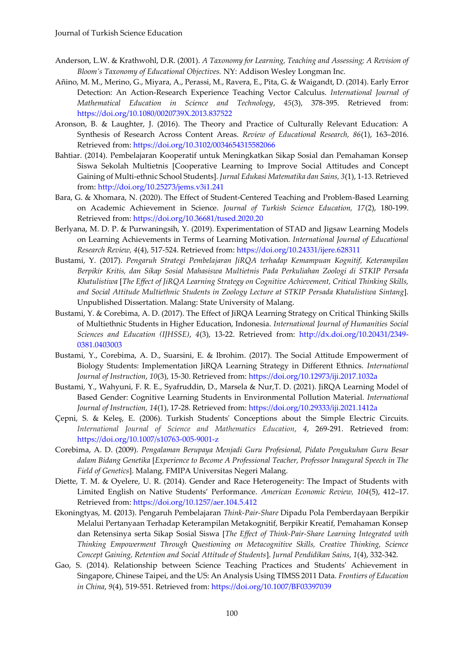- Anderson, L.W. & Krathwohl, D.R. (2001). *A Taxonomy for Learning, Teaching and Assessing; A Revision of Bloom's Taxonomy of Educational Objectives.* NY: Addison Wesley Longman Inc.
- Añino, M. M., Merino, G., Miyara, A., Perassi, M., Ravera, E., Pita, G. & Waigandt, D. (2014). Early Error Detection: An Action-Research Experience Teaching Vector Calculus. *International Journal of Mathematical Education in Science and Technology*, *45*(3), 378-395. Retrieved from: <https://doi.org/10.1080/0020739X.2013.837522>
- Aronson, B. & Laughter, J. (2016). The Theory and Practice of Culturally Relevant Education: A Synthesis of Research Across Content Areas. *Review of Educational Research, 86*(1), 163–2016. Retrieved from:<https://doi.org/10.3102/0034654315582066>
- Bahtiar. (2014). Pembelajaran Kooperatif untuk Meningkatkan Sikap Sosial dan Pemahaman Konsep Siswa Sekolah Multietnis [Cooperative Learning to Improve Social Attitudes and Concept Gaining of Multi-ethnic School Students]. *Jurnal Edukasi Matematika dan Sains, 3*(1), 1-13. Retrieved from:<http://doi.org/10.25273/jems.v3i1.241>
- Bara, G. & Xhomara, N. (2020). The Effect of Student-Centered Teaching and Problem-Based Learning on Academic Achievement in Science. *Journal of Turkish Science Education, 17*(2), 180-199. Retrieved from:<https://doi.org/10.36681/tused.2020.20>
- Berlyana, M. D. P. & Purwaningsih, Y. (2019). Experimentation of STAD and Jigsaw Learning Models on Learning Achievements in Terms of Learning Motivation. *International Journal of Educational Research Review, 4*(4), 517-524. Retrieved from:<https://doi.org/10.24331/ijere.628311>
- Bustami, Y. (2017). *Pengaruh Strategi Pembelajaran JiRQA terhadap Kemampuan Kognitif, Keterampilan Berpikir Kritis, dan Sikap Sosial Mahasiswa Multietnis Pada Perkuliahan Zoologi di STKIP Persada Khatulistiwa* [*The Effect of JiRQA Learning Strategy on Cognitive Achievement, Critical Thinking Skills, and Social Attitude Multiethnic Students in Zoology Lecture at STKIP Persada Khatulistiwa Sintang*]. Unpublished Dissertation. Malang: State University of Malang.
- Bustami, Y. & Corebima, A. D. (2017). The Effect of JiRQA Learning Strategy on Critical Thinking Skills of Multiethnic Students in Higher Education, Indonesia. *International Journal of Humanities Social Sciences and Education (IJHSSE)*, *4*(3), 13-22. Retrieved from: [http://dx.doi.org/10.20431/2349-](http://dx.doi.org/10.20431/2349-0381.0403003) [0381.0403003](http://dx.doi.org/10.20431/2349-0381.0403003)
- Bustami, Y., Corebima, A. D., Suarsini, E. & Ibrohim. (2017). The Social Attitude Empowerment of Biology Students: Implementation JiRQA Learning Strategy in Different Ethnics. *International Journal of Instruction*, *10*(3), 15-30. Retrieved from:<https://doi.org/10.12973/iji.2017.1032a>
- Bustami, Y., Wahyuni, F. R. E., Syafruddin, D., Marsela & Nur,T. D. (2021). JiRQA Learning Model of Based Gender: Cognitive Learning Students in Environmental Pollution Material. *International Journal of Instruction, 14*(1), 17-28. Retrieved from:<https://doi.org/10.29333/iji.2021.1412a>
- Çepni, S. & Keleş, E. (2006). Turkish Students' Conceptions about the Simple Electric Circuits. *International Journal of Science and Mathematics Education, 4*, 269-291. Retrieved from: <https://doi.org/10.1007/s10763-005-9001-z>
- Corebima, A. D. (2009). *Pengalaman Berupaya Menjadi Guru Profesional, Pidato Pengukuhan Guru Besar dalam Bidang Genetika* [*Experience to Become A Professional Teacher, Professor Inaugural Speech in The Field of Genetics*]. Malang. FMIPA Universitas Negeri Malang.
- Diette, T. M. & Oyelere, U. R. (2014). Gender and Race Heterogeneity: The Impact of Students with Limited English on Native Students' Performance. *American Economic Review, 104*(5), 412–17. Retrieved from:<https://doi.org/10.1257/aer.104.5.412>
- Ekoningtyas, M. **(**2013). Pengaruh Pembelajaran *Think-Pair-Share* Dipadu Pola Pemberdayaan Berpikir Melalui Pertanyaan Terhadap Keterampilan Metakognitif, Berpikir Kreatif, Pemahaman Konsep dan Retensinya serta Sikap Sosial Siswa [*The Effect of Think-Pair-Share Learning Integrated with Thinking Empowerment Through Questioning on Metacognitive Skills, Creative Thinking, Science Concept Gaining, Retention and Social Attitude of Students*]. *Jurnal Pendidikan Sains*, *1*(4), 332-342.
- Gao, S. (2014). Relationship between Science Teaching Practices and Students' Achievement in Singapore, Chinese Taipei, and the US: An Analysis Using TIMSS 2011 Data. *Frontiers of Education in China*, *9*(4), 519-551. Retrieved from:<https://doi.org/10.1007/BF03397039>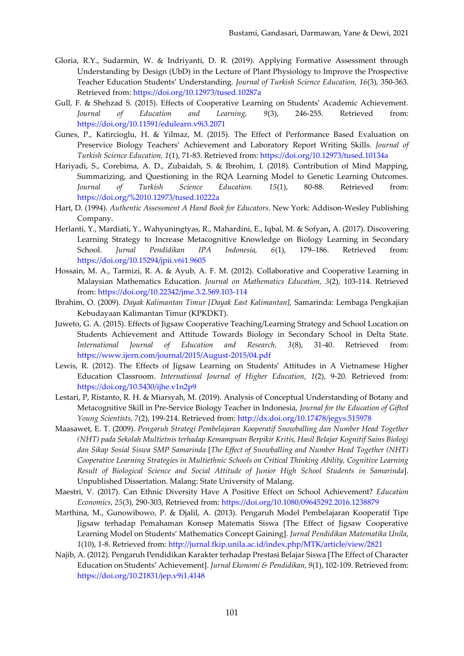- Gloria, R.Y., Sudarmin, W. & Indriyanti, D. R. (2019). Applying Formative Assessment through Understanding by Design (UbD) in the Lecture of Plant Physiology to Improve the Prospective Teacher Education Students' Understanding. *Journal of Turkish Science Education, 16*(3), 350-363. Retrieved from:<https://doi.org/10.12973/tused.10287a>
- Gull, F. & Shehzad S. (2015). Effects of Cooperative Learning on Students' Academic Achievement*. Journal of Education and Learning, 9*(3), 246-255. Retrieved from: <https://doi.org/10.11591/edulearn.v9i3.2071>
- Gunes, P., Katircioglu, H. & Yilmaz, M. (2015). The Effect of Performance Based Evaluation on Preservice Biology Teachers' Achievement and Laboratory Report Writing Skills. *Journal of Turkish Science Education, 1*(1), 71-83. Retrieved from:<https://doi.org/10.12973/tused.10134a>
- Hariyadi, S., Corebima, A. D., Zubaidah, S. & Ibrohim, I. (2018). Contribution of Mind Mapping, Summarizing, and Questioning in the RQA Learning Model to Genetic Learning Outcomes. *Journal of Turkish Science Education. 15*(1), 80-88. Retrieved from: <https://doi.org/%2010.12973/tused.10222a>
- Hart, D. (1994). *Authentic Assessment A Hand Book for Educators*. New York: Addison-Wesley Publishing Company.
- Herlanti, Y., Mardiati, Y., Wahyuningtyas, R., Mahardini, E., Iqbal, M. & Sofyan**,** A. (2017). Discovering Learning Strategy to Increase Metacognitive Knowledge on Biology Learning in Secondary School. *Jurnal Pendidikan IPA Indonesia, 6*(1), 179–186. Retrieved from: <https://doi.org/10.15294/jpii.v6i1.9605>
- Hossain, M. A., Tarmizi, R. A. & Ayub, A. F. M. (2012). Collaborative and Cooperative Learning in Malaysian Mathematics Education*. Journal on Mathematics Education, 3*(2), 103-114. Retrieved from:<https://doi.org/10.22342/jme.3.2.569.103-114>
- Ibrahim, O. (2009). *Dayak Kalimantan Timur [Dayak East Kalimantan],* Samarinda: Lembaga Pengkajian Kebudayaan Kalimantan Timur (KPKDKT).
- Juweto, G. A. (2015). Effects of Jigsaw Cooperative Teaching/Learning Strategy and School Location on Students Achievement and Attitude Towards Biology in Secondary School in Delta State. *International Journal of Education and Research, 3*(8), 31-40. Retrieved from: <https://www.ijern.com/journal/2015/August-2015/04.pdf>
- Lewis, R. (2012). The Effects of Jigsaw Learning on Students' Attitudes in A Vietnamese Higher Education Classroom. *International Journal of Higher Education*, *1*(2), 9-20. Retrieved from: <https://doi.org/10.5430/ijhe.v1n2p9>
- Lestari, P, Ristanto, R. H. & Miarsyah, M. (2019). Analysis of Conceptual Understanding of Botany and Metacognitive Skill in Pre-Service Biology Teacher in Indonesia, *Journal for the Education of Gifted Young Scientists, 7*(2), 199-214. Retrieved from:<http://dx.doi.org/10.17478/jegys.515978>
- Maasawet, E. T. (2009). *Pengaruh Strategi Pembelajaran Kooperatif Snowballing dan Number Head Together (NHT) pada Sekolah Multietnis terhadap Kemampuan Berpikir Kritis, Hasil Belajar Kognitif Sains Biologi dan Sikap Sosial Siswa SMP Samarinda* [*The Effect of Snowballing and Number Head Together (NHT) Cooperative Learning Strategies in Multiethnic Schools on Critical Thinking Ability, Cognitive Learning Result of Biological Science and Social Attitude of Junior High School Students in Samarinda*]. Unpublished Dissertation. Malang: State University of Malang.
- Maestri, V. (2017). Can Ethnic Diversity Have A Positive Effect on School Achievement? *Education Economics, 25*(3), 290-303, Retrieved from:<https://doi.org/10.1080/09645292.2016.1238879>
- Marthina, M., Gunowibowo, P. & Djalil, A*.* (2013). Pengaruh Model Pembelajaran Kooperatif Tipe Jigsaw terhadap Pemahaman Konsep Matematis Siswa [The Effect of Jigsaw Cooperative Learning Model on Students' Mathematics Concept Gaining]. *Jurnal Pendidikan Matematika Unila*, *1*(10), 1-8. Retrieved from:<http://jurnal.fkip.unila.ac.id/index.php/MTK/article/view/2821>
- Najib, A. (2012). Pengaruh Pendidikan Karakter terhadap Prestasi Belajar Siswa [The Effect of Character Education on Students' Achievement]. *Jurnal Ekonomi & Pendidikan, 9*(1), 102-109. Retrieved from: <https://doi.org/10.21831/jep.v9i1.4148>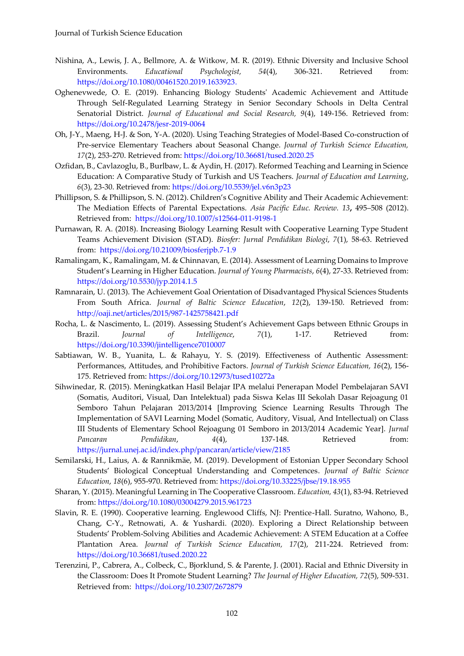- Nishina, A., Lewis, J. A., Bellmore, A. & Witkow, M. R. (2019). Ethnic Diversity and Inclusive School Environments. *Educational Psychologist, 54*(4), 306-321. Retrieved from: [https://doi.org/10.1080/00461520.2019.1633923.](https://doi.org/10.1080/00461520.2019.1633923)
- Oghenevwede, O. E. (2019). Enhancing Biology Students' Academic Achievement and Attitude Through Self-Regulated Learning Strategy in Senior Secondary Schools in Delta Central Senatorial District. *Journal of Educational and Social Research, 9*(4), 149-156. Retrieved from: <https://doi.org/10.2478/jesr-2019-0064>
- Oh, J-Y., Maeng, H-J. & Son, Y-A. (2020). Using Teaching Strategies of Model-Based Co-construction of Pre-service Elementary Teachers about Seasonal Change. *Journal of Turkish Science Education, 17*(2), 253-270. Retrieved from:<https://doi.org/10.36681/tused.2020.25>
- Ozfidan, B., Cavlazoglu, B., Burlbaw, L. & Aydin, H. (2017). Reformed Teaching and Learning in Science Education: A Comparative Study of Turkish and US Teachers. *Journal of Education and Learning*, *6*(3), 23-30. Retrieved from:<https://doi.org/10.5539/jel.v6n3p23>
- Phillipson, S. & Phillipson, S. N. (2012). Children's Cognitive Ability and Their Academic Achievement: The Mediation Effects of Parental Expectations. *Asia Pacific Educ. Review. 13***,** 495–508 (2012). Retrieved from:<https://doi.org/10.1007/s12564-011-9198-1>
- Purnawan, R. A. (2018). Increasing Biology Learning Result with Cooperative Learning Type Student Teams Achievement Division (STAD). *Biosfer: Jurnal Pendidikan Biologi*, *7*(1), 58-63. Retrieved from: <https://doi.org/10.21009/biosferjpb.7-1.9>
- Ramalingam, K., Ramalingam, M. & Chinnavan, E. (2014). Assessment of Learning Domains to Improve Student's Learning in Higher Education. *Journal of Young Pharmacists*, *6*(4), 27-33. Retrieved from: <https://doi.org/10.5530/jyp.2014.1.5>
- Ramnarain, U. (2013). The Achievement Goal Orientation of Disadvantaged Physical Sciences Students From South Africa. *Journal of Baltic Science Education*, *12*(2), 139-150. Retrieved from: <http://oaji.net/articles/2015/987-1425758421.pdf>
- Rocha, L. & Nascimento, L. (2019). Assessing Student's Achievement Gaps between Ethnic Groups in Brazil. *Journal of Intelligence*, *7*(1), 1-17. Retrieved from: <https://doi.org/10.3390/jintelligence7010007>
- Sabtiawan, W. B., Yuanita, L. & Rahayu, Y. S. (2019). Effectiveness of Authentic Assessment: Performances, Attitudes, and Prohibitive Factors. *Journal of Turkish Science Education, 16*(2), 156- 175. Retrieved from:<https://doi.org/10.12973/tused10272a>
- Sihwinedar, R. (2015). Meningkatkan Hasil Belajar IPA melalui Penerapan Model Pembelajaran SAVI (Somatis, Auditori, Visual, Dan Intelektual) pada Siswa Kelas III Sekolah Dasar Rejoagung 01 Semboro Tahun Pelajaran 2013/2014 [Improving Science Learning Results Through The Implementation of SAVI Learning Model (Somatic, Auditory, Visual, And Intellectual) on Class III Students of Elementary School Rejoagung 01 Semboro in 2013/2014 Academic Year]. *Jurnal Pancaran Pendidikan*, *4*(4), 137-148. Retrieved from: <https://jurnal.unej.ac.id/index.php/pancaran/article/view/2185>
- Semilarski, H., Laius, A. & Rannikmäe, M. (2019). Development of Estonian Upper Secondary School Students' Biological Conceptual Understanding and Competences. *Journal of Baltic Science Education*, *18*(6), 955-970. Retrieved from:<https://doi.org/10.33225/jbse/19.18.955>
- Sharan, Y. (2015). Meaningful Learning in The Cooperative Classroom. *Education, 43*(1), 83-94. Retrieved from:<https://doi.org/10.1080/03004279.2015.961723>
- Slavin, R. E. (1990). Cooperative learning. Englewood Cliffs, NJ: Prentice-Hall. Suratno, Wahono, B., Chang, C-Y., Retnowati, A. & Yushardi. (2020). Exploring a Direct Relationship between Students' Problem-Solving Abilities and Academic Achievement: A STEM Education at a Coffee Plantation Area. *Journal of Turkish Science Education, 17*(2), 211-224. Retrieved from: <https://doi.org/10.36681/tused.2020.22>
- Terenzini, P., Cabrera, A., Colbeck, C., Bjorklund, S. & Parente, J. (2001). Racial and Ethnic Diversity in the Classroom: Does It Promote Student Learning? *The Journal of Higher Education, 72*(5), 509-531. Retrieved from:<https://doi.org/10.2307/2672879>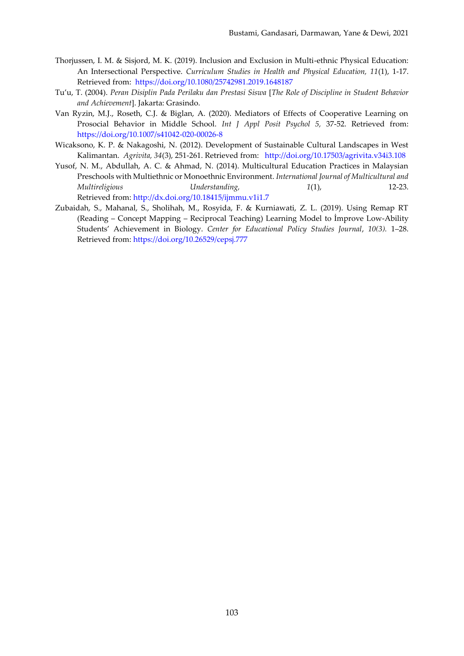- Thorjussen, I. M. & Sisjord, M. K. (2019). Inclusion and Exclusion in Multi-ethnic Physical Education: An Intersectional Perspective. *Curriculum Studies in Health and Physical Education, 11*(1), 1-17. Retrieved from:<https://doi.org/10.1080/25742981.2019.1648187>
- Tu'u, T. (2004). *Peran Disiplin Pada Perilaku dan Prestasi Siswa* [*The Role of Discipline in Student Behavior and Achievement*]. Jakarta: Grasindo.
- Van Ryzin, M.J., Roseth, C.J. & Biglan, A. (2020). Mediators of Effects of Cooperative Learning on Prosocial Behavior in Middle School. *Int J Appl Posit Psychol 5,* 37-52. Retrieved from: <https://doi.org/10.1007/s41042-020-00026-8>
- Wicaksono, K. P. & Nakagoshi, N. (2012). Development of Sustainable Cultural Landscapes in West Kalimantan. *Agrivita, 34*(3), 251-261. Retrieved from: <http://doi.org/10.17503/agrivita.v34i3.108>
- Yusof, N. M., Abdullah, A. C. & Ahmad, N. (2014). Multicultural Education Practices in Malaysian Preschools with Multiethnic or Monoethnic Environment. *International Journal of Multicultural and Multireligious Understanding, 1*(1), 12-23. Retrieved from: <http://dx.doi.org/10.18415/ijmmu.v1i1.7>
- Zubaidah, S., Mahanal, S., Sholihah, M., Rosyida, F. & Kurniawati, Z. L. (2019). Using Remap RT (Reading – Concept Mapping – Reciprocal Teaching) Learning Model to İmprove Low-Ability Students' Achievement in Biology. *Center for Educational Policy Studies Journal*, *10(3).* 1–28. Retrieved from: <https://doi.org/10.26529/cepsj.777>